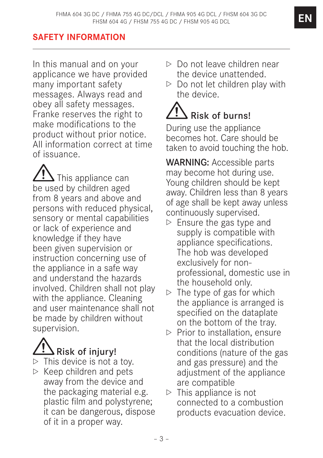# **SAFETY INFORMATION**

In this manual and on your applicance we have provided many important safety messages. Always read and obey all safety messages. Franke reserves the right to make modifications to the product without prior notice. All information correct at time of issuance.

 $\blacktriangle$  This appliance can be used by children aged from 8 years and above and persons with reduced physical, sensory or mental capabilities or lack of experience and knowledge if they have been given supervision or instruction concerning use of the appliance in a safe way and understand the hazards involved. Children shall not play with the appliance. Cleaning and user maintenance shall not be made by children without supervision.

# $\Delta$  Risk of injury!

- $\triangleright$  This device is not a toy.
- $\triangleright$  Keep children and pets away from the device and the packaging material e.g. plastic film and polystyrene; it can be dangerous, dispose of it in a proper way.
- $\triangleright$  Do not leave children near the device unattended.
- $\triangleright$  Do not let children play with the device.

# Risk of burns!

During use the appliance becomes hot. Care should be taken to avoid touching the hob.

WARNING: Accessible parts may become hot during use. Young children should be kept away. Children less than 8 years of age shall be kept away unless continuously supervised.

- $\triangleright$  Ensure the gas type and supply is compatible with appliance specifications. The hob was developed exclusively for nonprofessional, domestic use in the household only.
- $\triangleright$  The type of gas for which the appliance is arranged is specified on the dataplate on the bottom of the tray.
- $\triangleright$  Prior to installation, ensure that the local distribution conditions (nature of the gas and gas pressure) and the adjustment of the appliance are compatible
- $\triangleright$  This appliance is not connected to a combustion products evacuation device.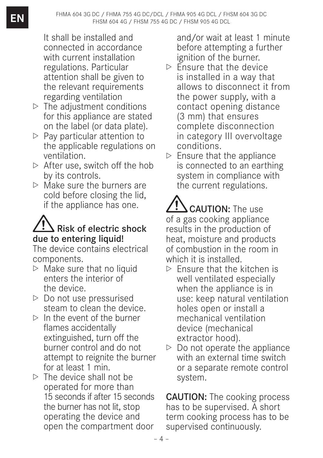It shall be installed and connected in accordance with current installation regulations. Particular attention shall be given to the relevant requirements regarding ventilation

- $\triangleright$  The adjustment conditions for this appliance are stated on the label (or data plate).
- $\triangleright$  Pay particular attention to the applicable regulations on ventilation.
- $\triangleright$  After use, switch off the hob by its controls.
- $\triangleright$  Make sure the burners are cold before closing the lid, if the appliance has one.

# **S** Risk of electric shock due to entering liquid!

The device contains electrical components.

- $\triangleright$  Make sure that no liquid enters the interior of the device.
- $\triangleright$  Do not use pressurised steam to clean the device.
- $\triangleright$  In the event of the burner flames accidentally extinguished, turn off the burner control and do not attempt to reignite the burner for at least 1 min.
- $\triangleright$  The device shall not be operated for more than 15 seconds if after 15 seconds the burner has not lit, stop operating the device and open the compartment door

and/or wait at least 1 minute before attempting a further ignition of the burner.

- $\triangleright$  Ensure that the device is installed in a way that allows to disconnect it from the power supply, with a contact opening distance (3 mm) that ensures complete disconnection in category III overvoltage conditions.
- $\triangleright$  Ensure that the appliance is connected to an earthing system in compliance with the current regulations.

CAUTION: The use of a gas cooking appliance results in the production of heat, moisture and products of combustion in the room in which it is installed.

- $\triangleright$  Ensure that the kitchen is well ventilated especially when the appliance is in use: keep natural ventilation holes open or install a mechanical ventilation device (mechanical extractor hood).
- $\triangleright$  Do not operate the appliance with an external time switch or a separate remote control system.

CAUTION: The cooking process has to be supervised. A short term cooking process has to be supervised continuously.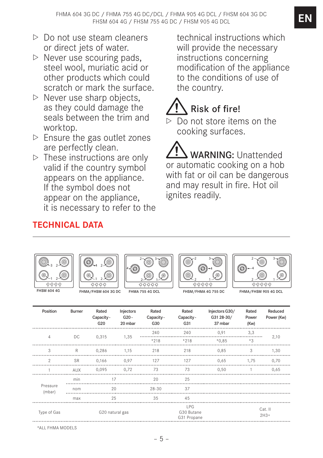- $\triangleright$  Do not use steam cleaners or direct jets of water.
- $\triangleright$  Never use scouring pads, steel wool, muriatic acid or other products which could scratch or mark the surface.
- $\triangleright$  Never use sharp objects, as they could damage the seals between the trim and worktop.
- $\triangleright$  Ensure the gas outlet zones are perfectly clean.
- $\triangleright$  These instructions are only valid if the country symbol appears on the appliance. If the symbol does not appear on the appliance, it is necessary to refer to the

**TECHNICAL DATA**

technical instructions which will provide the necessary instructions concerning modification of the appliance to the conditions of use of the country.

# Risk of fire!

Do not store items on the cooking surfaces.

 WARNING: Unattended or automatic cooking on a hob with fat or oil can be dangerous and may result in fire. Hot oil ignites readily.











FHMA/FHSM 604 3G DC FHMA 755 4G DCL FHSM/FHMA 4G 755 DC FHMA/FHSM 905 4G DC

| Position           | <b>Burner</b> | Rated<br>Capacity -<br>G20 | Injectors<br>$G20 -$<br>20 mbar | Rated<br>Capacity -<br>G30 | Rated<br>Capacity -<br>G31              | Injectors G30/<br>G31 28-30/<br>37 mbar | Rated<br>Power<br>(Kw) | Reduced<br>Power (Kw) |  |
|--------------------|---------------|----------------------------|---------------------------------|----------------------------|-----------------------------------------|-----------------------------------------|------------------------|-----------------------|--|
|                    | DC.           | 0,315                      | 1,35                            | 240                        | 240                                     | 0.91                                    | 3.3                    | 2,10                  |  |
| $\overline{4}$     |               |                            |                                 | $*218$                     | $*218$                                  | $*0.85$                                 | $*3$                   |                       |  |
| 3                  | R             | 0.286                      | 1.15                            | 218                        | 218                                     | 0.85                                    | 3                      | 1.30                  |  |
| $\mathcal{P}$      | <b>SR</b>     | 0.166                      | 0.97                            | 127                        | 127                                     | 0.65                                    | 1.75                   | 0.70                  |  |
|                    | AUX           | 0.095                      | 0.72                            | 73                         | 73                                      | 0.50                                    |                        | 0.65                  |  |
|                    | min           | 17                         |                                 | 20                         | 25                                      |                                         |                        |                       |  |
| Pressure<br>(mbar) | nom           | 20                         |                                 | $28 - 30$                  | 37                                      |                                         |                        |                       |  |
|                    | max           | 25                         |                                 | 35                         | 45                                      |                                         |                        |                       |  |
| Type of Gas        |               | G20 natural gas            |                                 |                            | <b>IPG</b><br>G30 Butane<br>G31 Propane |                                         |                        | Cat. II<br>$2H3+$     |  |

\*ALL FHMA MODELS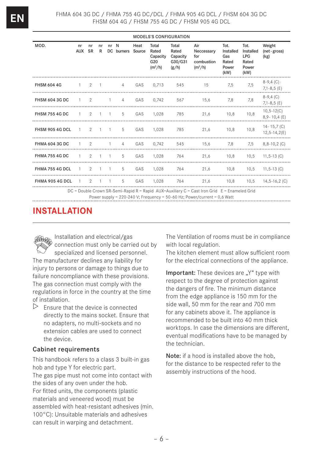| <b>MODELS'S CONFIGURATION</b>                                                                                                                                                  |                     |       |         |           |                 |                |                                                |                                                |                                                     |                                                    |                                                           |                                       |
|--------------------------------------------------------------------------------------------------------------------------------------------------------------------------------|---------------------|-------|---------|-----------|-----------------|----------------|------------------------------------------------|------------------------------------------------|-----------------------------------------------------|----------------------------------------------------|-----------------------------------------------------------|---------------------------------------|
| MOD.                                                                                                                                                                           | nr<br>AUX SR        | nr    | nr<br>R | nr N      | DC burners      | Heat<br>Source | Total<br>Rated<br>Capacity<br>G20<br>$(m^3/h)$ | Total<br>Rated<br>Capacity<br>G30/G31<br>(g/h) | Air<br>Neccessary<br>for<br>combustion<br>$(m^3/h)$ | Tot.<br>Installed<br>Gas<br>Rated<br>Power<br>(kW) | Tot.<br>Installed<br><b>LPG</b><br>Rated<br>Power<br>(kW) | Weight<br>(net-gross)<br>(kg)         |
| <b>FHSM 604 4G</b>                                                                                                                                                             | $1 \quad 2 \quad 1$ |       |         |           |                 |                | 4 GAS 0,713                                    |                                                | 545 15 7,5                                          |                                                    | 7.5                                                       | $8-9,4$ (C) +<br>$7,1-8,5$ (E)        |
| <b>FHSM 604 3G DC</b>                                                                                                                                                          |                     |       |         |           | 1 2 1 4         | GAS            | 0,742                                          | 567                                            | 15,6                                                | 7.8                                                | 7.8                                                       | $8-9,4$ (C)<br>$7,1-8,5$ (E)          |
| FHSM 755 4G DC 1 2 1 1 5                                                                                                                                                       |                     |       |         |           |                 | GAS            | 1.028                                          |                                                | 785 21,6                                            | 10.8                                               | 10.8                                                      | $10, 5 - 12(C)$<br>$8,9 - 10,4 (E)$   |
| FHSM 905 4G DCL 1 2 1 1                                                                                                                                                        |                     |       |         |           | 5               | GAS            | 1,028                                          |                                                | 785 21,6 10,8                                       |                                                    | 10.8                                                      | $14 - 15,7$ (C)<br>$12, 5 - 14, 2(E)$ |
| <b>FHMA 604 3G DC</b>                                                                                                                                                          | $1 \quad 2$         |       |         | $-1$ $-1$ | $4\overline{ }$ | GAS            | 0.742                                          | 545                                            | $15,6$ 7,8                                          |                                                    |                                                           | $7.5$ $8.8-10.2$ (C)                  |
| FHMA 755 4G DC 1 2 1 1                                                                                                                                                         |                     |       |         |           | 5               | GAS            | 1,028                                          |                                                | 764 21,6 10,8 10,5 11,5-13 (C)                      |                                                    |                                                           |                                       |
| FHMA 755 4G DCL 1 2 1 1                                                                                                                                                        |                     |       |         |           | $5 -$           | GAS            | 1.028                                          |                                                | 764 21,6 10,8 10,5 11,5-13 (C)                      |                                                    |                                                           |                                       |
| FHMA 905 4G DCL                                                                                                                                                                | $\overline{1}$      | 2 1 1 |         |           | $5^{\circ}$     | GAS            | 1.028                                          |                                                | 764 21,6 10,8 10,5 14,5-16,2 (C)                    |                                                    |                                                           |                                       |
| DC = Double Crown SR-Semi-Rapid R = Rapid AUX=Auxiliary C = Cast Iron Grid E = Enameled Grid<br>Power supply = $220-240$ V; Frequency = $50-60$ Hz; Power/current = $0.6$ Watt |                     |       |         |           |                 |                |                                                |                                                |                                                     |                                                    |                                                           |                                       |

# **INSTALLATION**

Installation and electrical/gas connection must only be carried out by specialized and licensed personnel. The manufacturer declines any liability for injury to persons or damage to things due to failure noncompliance with these provisions. The gas connection must comply with the regulations in force in the country at the time of installation.

 $\triangleright$  Ensure that the device is connected directly to the mains socket. Ensure that no adapters, no multi-sockets and no extension cables are used to connect the device.

#### Cabinet requirements

This handbook refers to a class 3 built-in gas hob and type Y for electric part.

The gas pipe must not come into contact with the sides of any oven under the hob. For fitted units, the components (plastic materials and veneered wood) must be assembled with heat-resistant adhesives (min. 100°C): Unsuitable materials and adhesives can result in warping and detachment.

The Ventilation of rooms must be in compliance with local regulation.

The kitchen element must allow sufficient room for the electrical connections of the appliance.

Important: These devices are "Y" type with respect to the degree of protection against the dangers of fire. The minimum distance from the edge appliance is 150 mm for the side wall, 50 mm for the rear and 700 mm for any cabinets above it. The appliance is recommended to be built into 40 mm thick worktops. In case the dimensions are different, eventual modifications have to be managed by the technician.

Note: if a hood is installed above the hob. for the distance to be respected refer to the assembly instructions of the hood.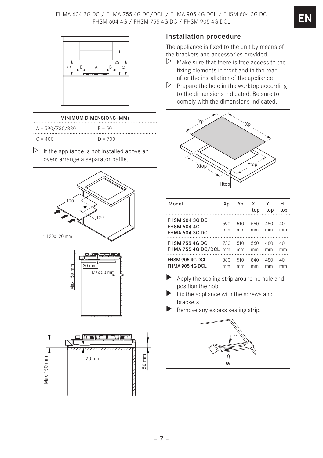FHMA 604 3G DC / FHMA 755 4G DC/DCL / FHMA 905 4G DCL / FHSM 604 3G DC FHSM 604 4G / FHSM 755 4G DC / FHSM 905 4G DCL



#### MINIMUM DIMENSIONS (MM)

| $A = 590/730/880$ | $R = 50$  |
|-------------------|-----------|
| $C = 400$         | $D = 700$ |

 $\triangleright$  If the appliance is not installed above an oven: arrange a separator baffle.



#### Installation procedure

The appliance is fixed to the unit by means of the brackets and accessories provided.

- $\triangleright$  Make sure that there is free access to the fixing elements in front and in the rear after the installation of the appliance.
- $\triangleright$  Prepare the hole in the worktop according to the dimensions indicated. Be sure to comply with the dimensions indicated.



| Model                                                                | Хp        | Yp        | х<br>top  | Υ<br>top  | н<br>top |
|----------------------------------------------------------------------|-----------|-----------|-----------|-----------|----------|
| <b>FHSM 604 3G DC</b><br><b>FHSM 604 4G</b><br><b>FHMA 604 3G DC</b> | 590<br>mm | 510<br>mm | 560<br>mm | 480<br>mm | 40<br>mm |
| <b>FHSM 755 4G DC</b>                                                | 730       | 510       | 560       | 480       | 40       |
| FHMA 755 4G DC/DCL mm                                                |           | mm        | mm        | mm        | mm       |
| FHSM 905 4G DCL                                                      | 880       | 510       | 840       | 480       | 40       |
| FHMA 905 4G DCL                                                      | mm        | mm        | mm        | mm        | mm       |

- Apply the sealing strip around he hole and position the hob.
- Fix the appliance with the screws and brackets.
- Remove any excess sealing strip.

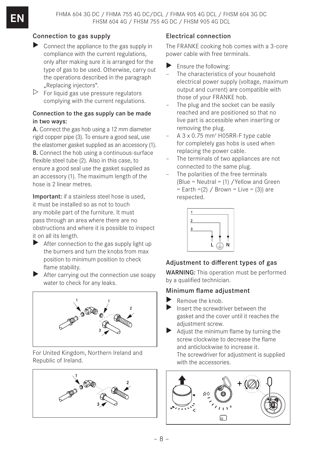### Connection to gas supply

- $\triangleright$  Connect the appliance to the gas supply in compliance with the current regulations, only after making sure it is arranged for the type of gas to be used. Otherwise, carry out the operations described in the paragraph "Replacing injectors".
- $\triangleright$  For liquid gas use pressure regulators complying with the current regulations.

#### Connection to the gas supply can be made in two ways:

A. Connect the gas hob using a 12 mm diameter rigid copper pipe (3). To ensure a good seal, use the elastomer gasket supplied as an accessory (1). B. Connect the hob using a continuous-surface flexible steel tube (2). Also in this case, to ensure a good seal use the gasket supplied as an accessory (1). The maximum length of the hose is 2 linear metres.

Important: if a stainless steel hose is used, it must be installed so as not to touch any mobile part of the furniture. It must pass through an area where there are no obstructions and where it is possible to inspect it on all its length.

- $\blacktriangleright$  After connection to the gas supply light up the burners and turn the knobs from max position to minimum position to check flame stability.
- $\blacktriangleright$  After carrying out the connection use soapy water to check for any leaks.



For United Kingdom, Northern Ireland and Republic of Ireland.



## Electrical connection

The FRANKE cooking hob comes with a 3-core power cable with free terminals.

- Ensure the following:
- The characteristics of your household electrical power supply (voltage, maximum output and current) are compatible with those of your FRANKE hob.
- The plug and the socket can be easily reached and are positioned so that no live part is accessible when inserting or removing the plug.
- A 3 x 0.75 mm2 H05RR-F type cable for completely gas hobs is used when replacing the power cable.
- The terminals of two appliances are not connected to the same plug.
- The polarities of the free terminals (Blue = Neutral = (1) /Yellow and Green  $=$  Earth  $=(2)$  / Brown  $=$  Live  $=(3)$ ) are respected.



# Adjustment to different types of gas

WARNING: This operation must be performed by a qualified technician.

## Minimum flame adjustment

- Remove the knob.
- Insert the screwdriver between the gasket and the cover until it reaches the adjustment screw.
- Adjust the minimum flame by turning the screw clockwise to decrease the flame and anticlockwise to increase it. The screwdriver for adjustment is supplied with the accessories.

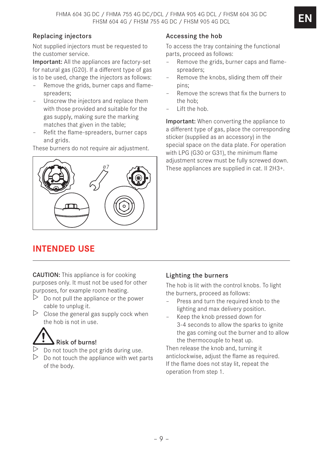### Replacing injectors

Not supplied injectors must be requested to the customer service.

Important: All the appliances are factory-set for natural gas (G20). If a different type of gas is to be used, change the injectors as follows:

- Remove the grids, burner caps and flamespreaders;
- Unscrew the injectors and replace them with those provided and suitable for the gas supply, making sure the marking matches that given in the table;
- Refit the flame-spreaders, burner caps and grids.

These burners do not require air adjustment.

ø7

# **INTENDED USE**

CAUTION: This appliance is for cooking purposes only. It must not be used for other purposes, for example room heating.

- $\triangleright$  Do not pull the appliance or the power cable to unplug it.
- $\triangleright$  Close the general gas supply cock when the hob is not in use.

# Risk of burns!

- $\triangleright$  Do not touch the pot grids during use.
- $\triangleright$  Do not touch the appliance with wet parts of the body.

#### Accessing the hob

To access the tray containing the functional parts, proceed as follows:

- Remove the grids, burner caps and flamespreaders;
- Remove the knobs, sliding them off their pins;
- Remove the screws that fix the burners to the hob;
- Lift the hob.

Important: When converting the appliance to a different type of gas, place the corresponding sticker (supplied as an accessory) in the special space on the data plate. For operation with LPG (G30 or G31), the minimum flame adjustment screw must be fully screwed down. These appliances are supplied in cat. II 2H3+.

#### Lighting the burners

The hob is lit with the control knobs. To light the burners, proceed as follows:

- Press and turn the required knob to the lighting and max delivery position.
- Keep the knob pressed down for 3-4 seconds to allow the sparks to ignite the gas coming out the burner and to allow the thermocouple to heat up.

Then release the knob and, turning it anticlockwise, adjust the flame as required. If the flame does not stay lit, repeat the operation from step 1.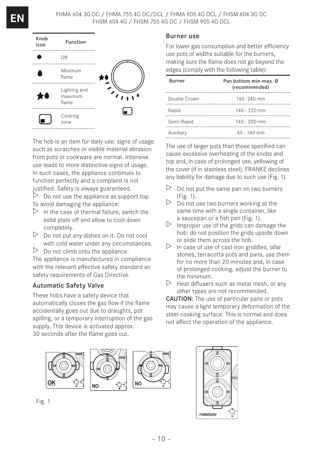

The hob is an item for daily use: signs of usage such as scratches or visible material abrasion from pots or cookware are normal. Intensive use leads to more distinctive signs of usage. In such cases, the appliance continues to function perfectly and a complaint is not justified. Safety is always guaranteed.

 $\triangleright$  Do not use the appliance as support top. To avoid damaging the appliance:

- $\triangleright$  In the case of thermal failure, switch the solid plate off and allow to cool down completely.
- $\triangleright$  Do not put any dishes on it. Do not cool with cold water under any circumstances.
- $\triangleright$  Do not climb onto the appliance.

The appliance is manufactured in compliance with the relevant effective safety standard an safety requirements of Gas Directive.

## Automatic Safety Valve

These hobs have a safety device that automatically closes the gas flow if the flame accidentally goes out due to draughts, pot spilling, or a temporary interruption of the gas supply. This device is activated approx. 30 seconds after the flame goes out.

#### Burner use

For lower gas consumption and better efficiency use pots of widths suitable for the burners, making sure the flame does not go beyond the edges (comply with the following table):

| <b>Burner</b> | Pan bottom min-max. Ø<br>(recommended) |
|---------------|----------------------------------------|
| Double Crown  | $160 - 240$ mm                         |
| Rapid         | $140 - 220$ mm                         |
| Semi-Rapid    | $140 - 200$ mm                         |
| Auxiliary     | $60 - 140$ mm                          |

The use of larger pots than those specified can cause excessive overheating of the knobs and top and, in case of prolonged use, yellowing of the cover (if in stainless steel). FRANKE declines any liability for damage due to such use (Fig. 1).

- $\triangleright$  Do not put the same pan on two burners (Fig. 1).
- $\triangleright$  Do not use two burners working at the same time with a single container, like a saucepan or a fish pan (Fig. 1).
- $\triangleright$  Improper use of the grids can damage the hob: do not position the grids upside down or slide them across the hob.
- $\triangleright$  In case of use of cast iron griddles, ollar stones, terracotta pots and pans, use them for no more than 20 minutes and, in case of prolonged cooking, adjust the burner to the minimum.
- $\triangleright$  Heat diffusers such as metal mesh, or any other types are not recommended.

CAUTION: The use of particular pans or pots may cause a light temporary deformation of the steel cooking surface. This is normal and does not affect the operation of the appliance.



Fig. 1

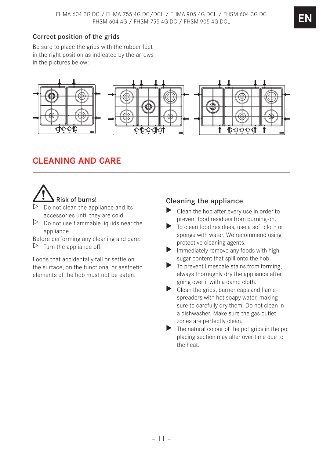## Correct position of the grids

Be sure to place the grids with the rubber feet in the right position as indicated by the arrows in the pictures below:



# **CLEANING AND CARE**



- Do not clean the appliance and its accessories until they are cold.
- $\triangleright$  Do not use flammable liquids near the appliance.
- Before performing any cleaning and care:
- $\triangleright$  Turn the appliance off.

Foods that accidentally fall or settle on the surface, on the functional or aesthetic elements of the hob must not be eaten.

## Cleaning the appliance

- $\triangleright$  Clean the hob after every use in order to prevent food residues from burning on.
- $\triangleright$  To clean food residues, use a soft cloth or sponge with water. We recommend using protective cleaning agents.
- $\blacktriangleright$  Immediately remove any foods with high sugar content that spill onto the hob.
- $\blacktriangleright$  To prevent limescale stains from forming, always thoroughly dry the appliance after going over it with a damp cloth.
- $\triangleright$  Clean the grids, burner caps and flamespreaders with hot soapy water, making sure to carefully dry them. Do not clean in a dishwasher. Make sure the gas outlet zones are perfectly clean.
- $\blacktriangleright$  The natural colour of the pot grids in the pot placing section may alter over time due to the heat.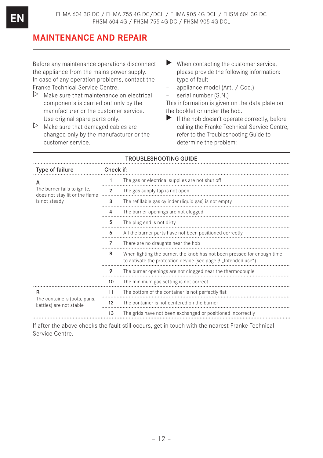# **MAINTENANCE AND REPAIR**

Before any maintenance operations disconnect the appliance from the mains power supply. In case of any operation problems, contact the Franke Technical Service Centre.

- $\triangleright$  Make sure that maintenance on electrical components is carried out only by the manufacturer or the customer service. Use original spare parts only.
- $\triangleright$  Make sure that damaged cables are changed only by the manufacturer or the customer service.
- $\blacktriangleright$  When contacting the customer service. please provide the following information:
- type of fault
- appliance model (Art. / Cod.)
- serial number (S.N.)

This information is given on the data plate on the booklet or under the hob.

 $\blacktriangleright$  If the hob doesn't operate correctly, before calling the Franke Technical Service Centre, refer to the Troubleshooting Guide to determine the problem:

#### TROUBLESHOOTING GUIDE

| Type of failure                                               | Check if:      |                                                                                                                                          |  |  |  |
|---------------------------------------------------------------|----------------|------------------------------------------------------------------------------------------------------------------------------------------|--|--|--|
| А                                                             |                | The gas or electrical supplies are not shut off                                                                                          |  |  |  |
| The burner fails to ignite,<br>does not stay lit or the flame | $\mathfrak{p}$ | The gas supply tap is not open                                                                                                           |  |  |  |
| is not steady                                                 | 3              | The refillable gas cylinder (liquid gas) is not empty                                                                                    |  |  |  |
|                                                               | 4              | The burner openings are not clogged                                                                                                      |  |  |  |
|                                                               | 5              | The plug end is not dirty                                                                                                                |  |  |  |
|                                                               | 6              | All the burner parts have not been positioned correctly                                                                                  |  |  |  |
|                                                               | 7              | There are no draughts near the hob                                                                                                       |  |  |  |
|                                                               | 8              | When lighting the burner, the knob has not been pressed for enough time<br>to activate the protection device (see page 9, Intended use") |  |  |  |
|                                                               | 9              | The burner openings are not clogged near the thermocouple                                                                                |  |  |  |
|                                                               | 10             | The minimum gas setting is not correct                                                                                                   |  |  |  |
| B                                                             | 11             | The bottom of the container is not perfectly flat                                                                                        |  |  |  |
| The containers (pots, pans,<br>kettles) are not stable        | 12             | The container is not centered on the burner                                                                                              |  |  |  |
|                                                               | 13             | The grids have not been exchanged or positioned incorrectly                                                                              |  |  |  |

If after the above checks the fault still occurs, get in touch with the nearest Franke Technical Service Centre.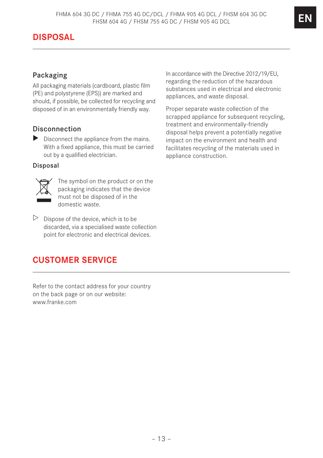# **DISPOSAL**

## Packaging

All packaging materials (cardboard, plastic film (PE) and polystyrene (EPS)) are marked and should, if possible, be collected for recycling and disposed of in an environmentally friendly way.

## Disconnection

 $\triangleright$  Disconnect the appliance from the mains. With a fixed appliance, this must be carried out by a qualified electrician.

#### Disposal



The symbol on the product or on the packaging indicates that the device must not be disposed of in the domestic waste.

 $\triangleright$  Dispose of the device, which is to be discarded, via a specialised waste collection point for electronic and electrical devices.

# **CUSTOMER SERVICE**

Refer to the contact address for your country on the back page or on our website: www.franke.com

In accordance with the Directive 2012/19/EU, regarding the reduction of the hazardous substances used in electrical and electronic appliances, and waste disposal.

Proper separate waste collection of the scrapped appliance for subsequent recycling, treatment and environmentally-friendly disposal helps prevent a potentially negative impact on the environment and health and facilitates recycling of the materials used in appliance construction.